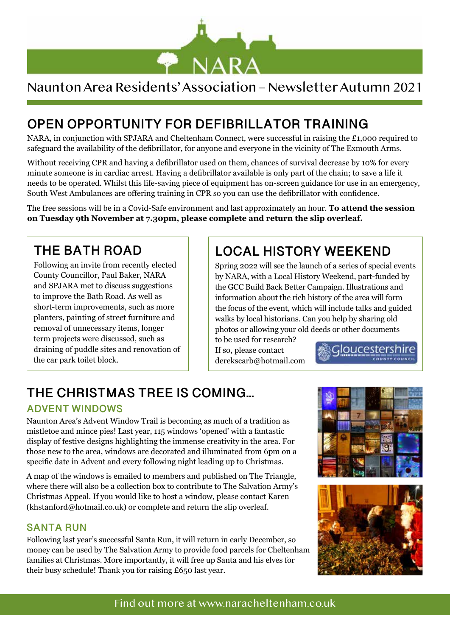

# Naunton Area Residents' Association – Newsletter Autumn 2021

# **OPEN OPPORTUNITY FOR DEFIBRILLATOR TRAINING**

NARA, in conjunction with SPJARA and Cheltenham Connect, were successful in raising the £1,000 required to safeguard the availability of the defibrillator, for anyone and everyone in the vicinity of The Exmouth Arms.

Without receiving CPR and having a defibrillator used on them, chances of survival decrease by 10% for every minute someone is in cardiac arrest. Having a defibrillator available is only part of the chain; to save a life it needs to be operated. Whilst this life-saving piece of equipment has on-screen guidance for use in an emergency, South West Ambulances are offering training in CPR so you can use the defibrillator with confidence.

The free sessions will be in a Covid-Safe environment and last approximately an hour. **To attend the session on Tuesday 9th November at 7.30pm, please complete and return the slip overleaf.**

### **THE BATH ROAD**

Following an invite from recently elected County Councillor, Paul Baker, NARA and SPJARA met to discuss suggestions to improve the Bath Road. As well as short-term improvements, such as more planters, painting of street furniture and removal of unnecessary items, longer term projects were discussed, such as draining of puddle sites and renovation of the car park toilet block.

## **LOCAL HISTORY WEEKEND**

Spring 2022 will see the launch of a series of special events by NARA, with a Local History Weekend, part-funded by the GCC Build Back Better Campaign. Illustrations and information about the rich history of the area will form the focus of the event, which will include talks and guided walks by local historians. Can you help by sharing old photos or allowing your old deeds or other documents

to be used for research? If so, please contact derekscarb@hotmail.com

Gloucestershire

# **THE CHRISTMAS TREE IS COMING...**

#### **ADVENT WINDOWS**

Naunton Area's Advent Window Trail is becoming as much of a tradition as mistletoe and mince pies! Last year, 115 windows 'opened' with a fantastic display of festive designs highlighting the immense creativity in the area. For those new to the area, windows are decorated and illuminated from 6pm on a specific date in Advent and every following night leading up to Christmas.

A map of the windows is emailed to members and published on The Triangle, where there will also be a collection box to contribute to The Salvation Army's Christmas Appeal. If you would like to host a window, please contact Karen (khstanford@hotmail.co.uk) or complete and return the slip overleaf.

#### **SANTA RUN**

Following last year's successful Santa Run, it will return in early December, so money can be used by The Salvation Army to provide food parcels for Cheltenham families at Christmas. More importantly, it will free up Santa and his elves for their busy schedule! Thank you for raising £650 last year.